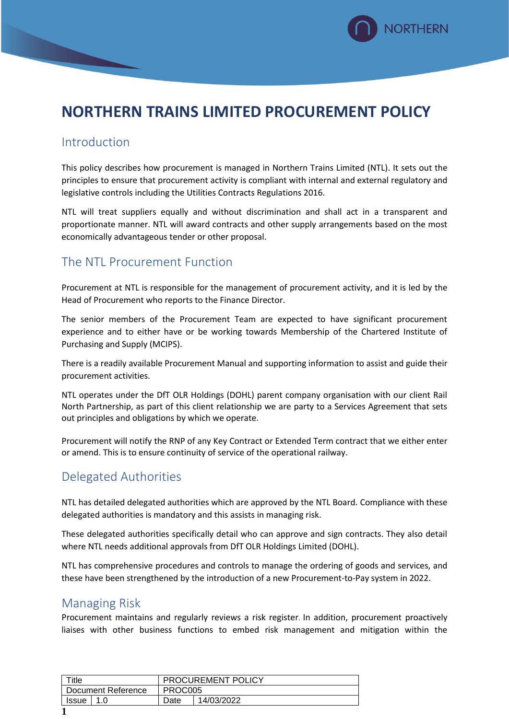

# **NORTHERN TRAINS LIMITED PROCUREMENT POLICY**

#### Introduction

This policy describes how procurement is managed in Northern Trains Limited (NTL). It sets out the principles to ensure that procurement activity is compliant with internal and external regulatory and legislative controls including the Utilities Contracts Regulations 2016.

NTL will treat suppliers equally and without discrimination and shall act in a transparent and proportionate manner. NTL will award contracts and other supply arrangements based on the most economically advantageous tender or other proposal.

# The NTL Procurement Function

Procurement at NTL is responsible for the management of procurement activity, and it is led by the Head of Procurement who reports to the Finance Director.

The senior members of the Procurement Team are expected to have significant procurement experience and to either have or be working towards Membership of the Chartered Institute of Purchasing and Supply (MCIPS).

There is a readily available Procurement Manual and supporting information to assist and guide their procurement activities.

NTL operates under the DfT OLR Holdings (DOHL) parent company organisation with our client Rail North Partnership, as part of this client relationship we are party to a Services Agreement that sets out principles and obligations by which we operate.

Procurement will notify the RNP of any Key Contract or Extended Term contract that we either enter or amend. This is to ensure continuity of service of the operational railway.

## Delegated Authorities

NTL has detailed delegated authorities which are approved by the NTL Board. Compliance with these delegated authorities is mandatory and this assists in managing risk.

These delegated authorities specifically detail who can approve and sign contracts. They also detail where NTL needs additional approvals from DfT OLR Holdings Limited (DOHL).

NTL has comprehensive procedures and controls to manage the ordering of goods and services, and these have been strengthened by the introduction of a new Procurement-to-Pay system in 2022.

## Managing Risk

Procurement maintains and regularly reviews a risk register. In addition, procurement proactively liaises with other business functions to embed risk management and mitigation within the

| ™itle              |  | PROCUREMENT POLICY |            |
|--------------------|--|--------------------|------------|
| Document Reference |  | PROC005            |            |
| Issue              |  | Date               | 14/03/2022 |
|                    |  |                    |            |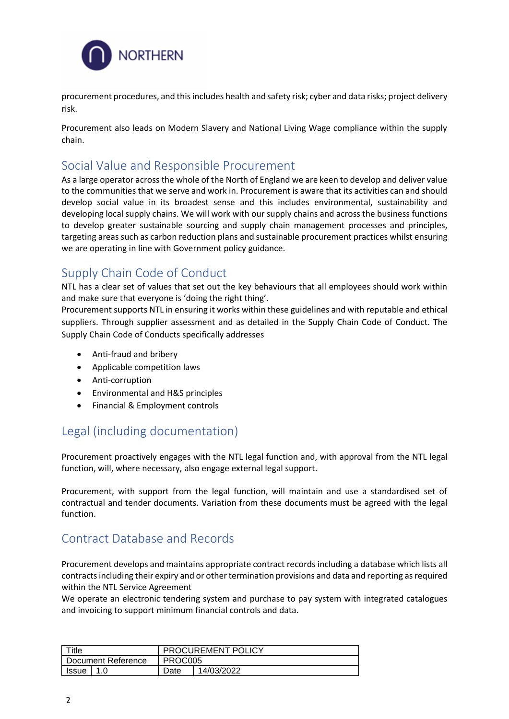

procurement procedures, and this includes health and safety risk; cyber and data risks; project delivery risk.

Procurement also leads on Modern Slavery and National Living Wage compliance within the supply chain.

#### Social Value and Responsible Procurement

As a large operator across the whole of the North of England we are keen to develop and deliver value to the communities that we serve and work in. Procurement is aware that its activities can and should develop social value in its broadest sense and this includes environmental, sustainability and developing local supply chains. We will work with our supply chains and across the business functions to develop greater sustainable sourcing and supply chain management processes and principles, targeting areas such as carbon reduction plans and sustainable procurement practices whilst ensuring we are operating in line with Government policy guidance.

## Supply Chain Code of Conduct

NTL has a clear set of values that set out the key behaviours that all employees should work within and make sure that everyone is 'doing the right thing'.

Procurement supports NTL in ensuring it works within these guidelines and with reputable and ethical suppliers. Through supplier assessment and as detailed in the Supply Chain Code of Conduct. The Supply Chain Code of Conducts specifically addresses

- Anti-fraud and bribery
- Applicable competition laws
- Anti-corruption
- Environmental and H&S principles
- Financial & Employment controls

# Legal (including documentation)

Procurement proactively engages with the NTL legal function and, with approval from the NTL legal function, will, where necessary, also engage external legal support.

Procurement, with support from the legal function, will maintain and use a standardised set of contractual and tender documents. Variation from these documents must be agreed with the legal function.

# Contract Database and Records

Procurement develops and maintains appropriate contract records including a database which lists all contracts including their expiry and or other termination provisions and data and reporting as required within the NTL Service Agreement

We operate an electronic tendering system and purchase to pay system with integrated catalogues and invoicing to support minimum financial controls and data.

| Title              |  | PROCUREMENT POLICY |            |
|--------------------|--|--------------------|------------|
| Document Reference |  | PROC005            |            |
| Issue              |  | Date               | 14/03/2022 |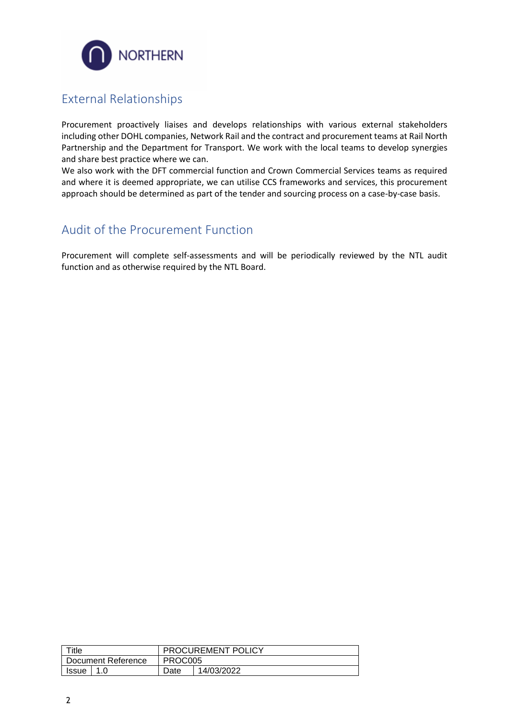

# External Relationships

Procurement proactively liaises and develops relationships with various external stakeholders including other DOHL companies, Network Rail and the contract and procurement teams at Rail North Partnership and the Department for Transport. We work with the local teams to develop synergies and share best practice where we can.

We also work with the DFT commercial function and Crown Commercial Services teams as required and where it is deemed appropriate, we can utilise CCS frameworks and services, this procurement approach should be determined as part of the tender and sourcing process on a case-by-case basis.

## Audit of the Procurement Function

Procurement will complete self-assessments and will be periodically reviewed by the NTL audit function and as otherwise required by the NTL Board.

| Title              |       | PROCUREMENT POLICY |            |  |
|--------------------|-------|--------------------|------------|--|
| Document Reference |       | PROC005            |            |  |
| Issue              | - 1.0 | Date               | 14/03/2022 |  |